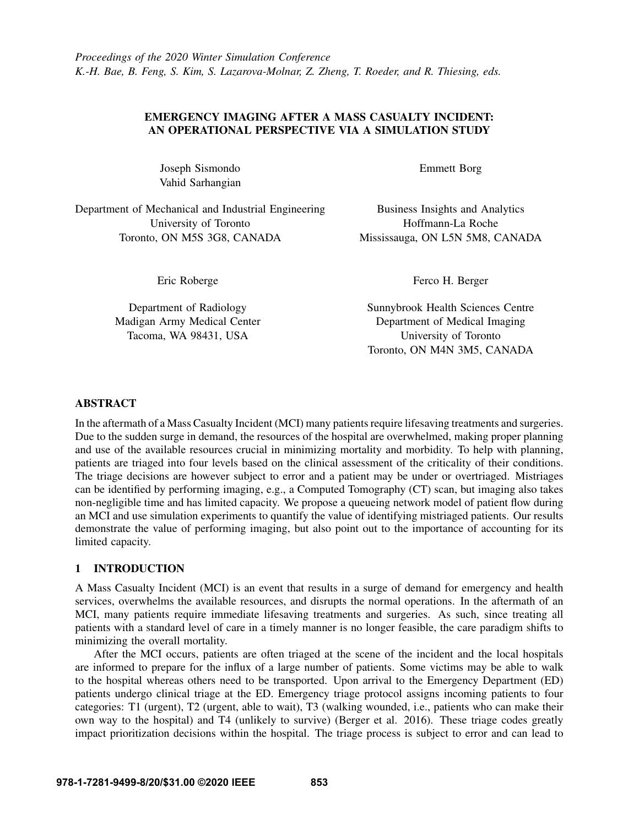# EMERGENCY IMAGING AFTER A MASS CASUALTY INCIDENT: AN OPERATIONAL PERSPECTIVE VIA A SIMULATION STUDY

Joseph Sismondo Vahid Sarhangian

Department of Mechanical and Industrial Engineering University of Toronto Toronto, ON M5S 3G8, CANADA

Emmett Borg

Business Insights and Analytics Hoffmann-La Roche Mississauga, ON L5N 5M8, CANADA

Eric Roberge

Department of Radiology Madigan Army Medical Center Tacoma, WA 98431, USA

Ferco H. Berger

Sunnybrook Health Sciences Centre Department of Medical Imaging University of Toronto Toronto, ON M4N 3M5, CANADA

# ABSTRACT

In the aftermath of a Mass Casualty Incident (MCI) many patients require lifesaving treatments and surgeries. Due to the sudden surge in demand, the resources of the hospital are overwhelmed, making proper planning and use of the available resources crucial in minimizing mortality and morbidity. To help with planning, patients are triaged into four levels based on the clinical assessment of the criticality of their conditions. The triage decisions are however subject to error and a patient may be under or overtriaged. Mistriages can be identified by performing imaging, e.g., a Computed Tomography (CT) scan, but imaging also takes non-negligible time and has limited capacity. We propose a queueing network model of patient flow during an MCI and use simulation experiments to quantify the value of identifying mistriaged patients. Our results demonstrate the value of performing imaging, but also point out to the importance of accounting for its limited capacity.

# 1 INTRODUCTION

A Mass Casualty Incident (MCI) is an event that results in a surge of demand for emergency and health services, overwhelms the available resources, and disrupts the normal operations. In the aftermath of an MCI, many patients require immediate lifesaving treatments and surgeries. As such, since treating all patients with a standard level of care in a timely manner is no longer feasible, the care paradigm shifts to minimizing the overall mortality.

After the MCI occurs, patients are often triaged at the scene of the incident and the local hospitals are informed to prepare for the influx of a large number of patients. Some victims may be able to walk to the hospital whereas others need to be transported. Upon arrival to the Emergency Department (ED) patients undergo clinical triage at the ED. Emergency triage protocol assigns incoming patients to four categories: T1 (urgent), T2 (urgent, able to wait), T3 (walking wounded, i.e., patients who can make their own way to the hospital) and T4 (unlikely to survive) [\(Berger et al. 2016\)](#page-9-0). These triage codes greatly impact prioritization decisions within the hospital. The triage process is subject to error and can lead to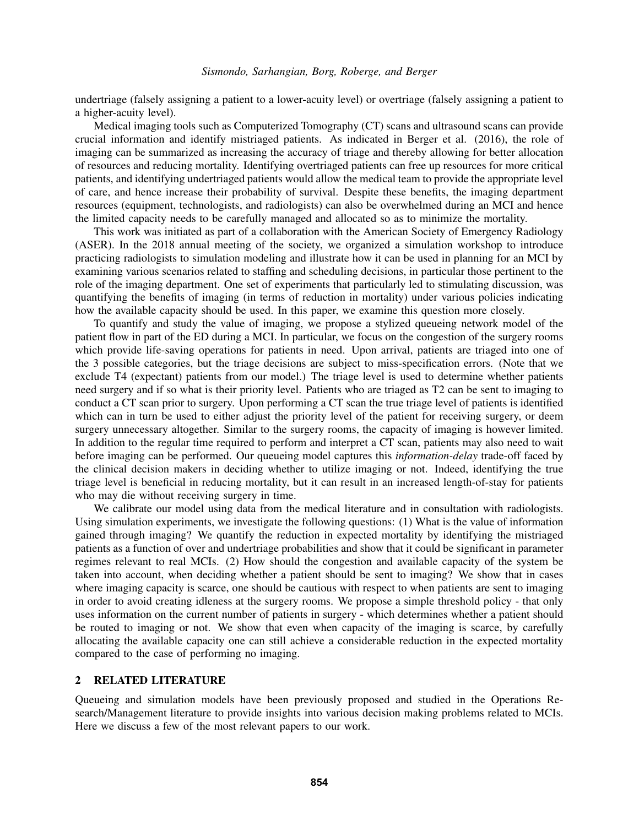undertriage (falsely assigning a patient to a lower-acuity level) or overtriage (falsely assigning a patient to a higher-acuity level).

Medical imaging tools such as Computerized Tomography (CT) scans and ultrasound scans can provide crucial information and identify mistriaged patients. As indicated in [Berger et al. \(2016\),](#page-9-0) the role of imaging can be summarized as increasing the accuracy of triage and thereby allowing for better allocation of resources and reducing mortality. Identifying overtriaged patients can free up resources for more critical patients, and identifying undertriaged patients would allow the medical team to provide the appropriate level of care, and hence increase their probability of survival. Despite these benefits, the imaging department resources (equipment, technologists, and radiologists) can also be overwhelmed during an MCI and hence the limited capacity needs to be carefully managed and allocated so as to minimize the mortality.

This work was initiated as part of a collaboration with the American Society of Emergency Radiology (ASER). In the 2018 annual meeting of the society, we organized a simulation workshop to introduce practicing radiologists to simulation modeling and illustrate how it can be used in planning for an MCI by examining various scenarios related to staffing and scheduling decisions, in particular those pertinent to the role of the imaging department. One set of experiments that particularly led to stimulating discussion, was quantifying the benefits of imaging (in terms of reduction in mortality) under various policies indicating how the available capacity should be used. In this paper, we examine this question more closely.

To quantify and study the value of imaging, we propose a stylized queueing network model of the patient flow in part of the ED during a MCI. In particular, we focus on the congestion of the surgery rooms which provide life-saving operations for patients in need. Upon arrival, patients are triaged into one of the 3 possible categories, but the triage decisions are subject to miss-specification errors. (Note that we exclude T4 (expectant) patients from our model.) The triage level is used to determine whether patients need surgery and if so what is their priority level. Patients who are triaged as T2 can be sent to imaging to conduct a CT scan prior to surgery. Upon performing a CT scan the true triage level of patients is identified which can in turn be used to either adjust the priority level of the patient for receiving surgery, or deem surgery unnecessary altogether. Similar to the surgery rooms, the capacity of imaging is however limited. In addition to the regular time required to perform and interpret a CT scan, patients may also need to wait before imaging can be performed. Our queueing model captures this *information-delay* trade-off faced by the clinical decision makers in deciding whether to utilize imaging or not. Indeed, identifying the true triage level is beneficial in reducing mortality, but it can result in an increased length-of-stay for patients who may die without receiving surgery in time.

We calibrate our model using data from the medical literature and in consultation with radiologists. Using simulation experiments, we investigate the following questions: (1) What is the value of information gained through imaging? We quantify the reduction in expected mortality by identifying the mistriaged patients as a function of over and undertriage probabilities and show that it could be significant in parameter regimes relevant to real MCIs. (2) How should the congestion and available capacity of the system be taken into account, when deciding whether a patient should be sent to imaging? We show that in cases where imaging capacity is scarce, one should be cautious with respect to when patients are sent to imaging in order to avoid creating idleness at the surgery rooms. We propose a simple threshold policy - that only uses information on the current number of patients in surgery - which determines whether a patient should be routed to imaging or not. We show that even when capacity of the imaging is scarce, by carefully allocating the available capacity one can still achieve a considerable reduction in the expected mortality compared to the case of performing no imaging.

## 2 RELATED LITERATURE

Queueing and simulation models have been previously proposed and studied in the Operations Research/Management literature to provide insights into various decision making problems related to MCIs. Here we discuss a few of the most relevant papers to our work.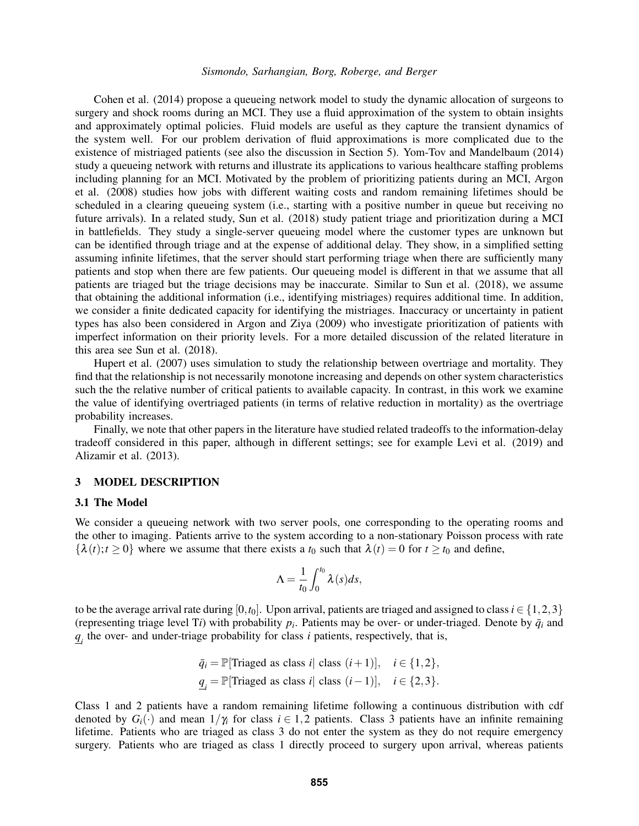[Cohen et al. \(2014\)](#page-9-1) propose a queueing network model to study the dynamic allocation of surgeons to surgery and shock rooms during an MCI. They use a fluid approximation of the system to obtain insights and approximately optimal policies. Fluid models are useful as they capture the transient dynamics of the system well. For our problem derivation of fluid approximations is more complicated due to the existence of mistriaged patients (see also the discussion in Section [5\)](#page-8-0). [Yom-Tov and Mandelbaum \(2014\)](#page-9-2) study a queueing network with returns and illustrate its applications to various healthcare staffing problems including planning for an MCI. Motivated by the problem of prioritizing patients during an MCI, [Argon](#page-9-3) [et al. \(2008\)](#page-9-3) studies how jobs with different waiting costs and random remaining lifetimes should be scheduled in a clearing queueing system (i.e., starting with a positive number in queue but receiving no future arrivals). In a related study, [Sun et al. \(2018\)](#page-9-4) study patient triage and prioritization during a MCI in battlefields. They study a single-server queueing model where the customer types are unknown but can be identified through triage and at the expense of additional delay. They show, in a simplified setting assuming infinite lifetimes, that the server should start performing triage when there are sufficiently many patients and stop when there are few patients. Our queueing model is different in that we assume that all patients are triaged but the triage decisions may be inaccurate. Similar to [Sun et al. \(2018\),](#page-9-4) we assume that obtaining the additional information (i.e., identifying mistriages) requires additional time. In addition, we consider a finite dedicated capacity for identifying the mistriages. Inaccuracy or uncertainty in patient types has also been considered in [Argon and Ziya \(2009\)](#page-9-5) who investigate prioritization of patients with imperfect information on their priority levels. For a more detailed discussion of the related literature in this area see [Sun et al. \(2018\).](#page-9-4)

[Hupert et al. \(2007\)](#page-9-6) uses simulation to study the relationship between overtriage and mortality. They find that the relationship is not necessarily monotone increasing and depends on other system characteristics such the the relative number of critical patients to available capacity. In contrast, in this work we examine the value of identifying overtriaged patients (in terms of relative reduction in mortality) as the overtriage probability increases.

Finally, we note that other papers in the literature have studied related tradeoffs to the information-delay tradeoff considered in this paper, although in different settings; see for example [Levi et al. \(2019\)](#page-9-7) and [Alizamir et al. \(2013\).](#page-9-8)

## 3 MODEL DESCRIPTION

#### <span id="page-2-0"></span>3.1 The Model

We consider a queueing network with two server pools, one corresponding to the operating rooms and the other to imaging. Patients arrive to the system according to a non-stationary Poisson process with rate  $\{\lambda(t); t \geq 0\}$  where we assume that there exists a  $t_0$  such that  $\lambda(t) = 0$  for  $t \geq t_0$  and define,

$$
\Lambda = \frac{1}{t_0} \int_0^{t_0} \lambda(s) ds,
$$

to be the average arrival rate during [0, $t_0$ ]. Upon arrival, patients are triaged and assigned to class  $i \in \{1,2,3\}$ (representing triage level T*i*) with probability  $p_i$ . Patients may be over- or under-triaged. Denote by  $\bar{q}_i$  and  $q_i$  the over- and under-triage probability for class *i* patients, respectively, that is,

$$
\bar{q}_i = \mathbb{P}[\text{Triaged as class } i] \text{ class } (i+1)], \quad i \in \{1, 2\},
$$
  

$$
\underline{q}_i = \mathbb{P}[\text{Triaged as class } i] \text{ class } (i-1)], \quad i \in \{2, 3\}.
$$

Class 1 and 2 patients have a random remaining lifetime following a continuous distribution with cdf denoted by  $G_i(\cdot)$  and mean  $1/\gamma_i$  for class  $i \in 1,2$  patients. Class 3 patients have an infinite remaining lifetime. Patients who are triaged as class 3 do not enter the system as they do not require emergency surgery. Patients who are triaged as class 1 directly proceed to surgery upon arrival, whereas patients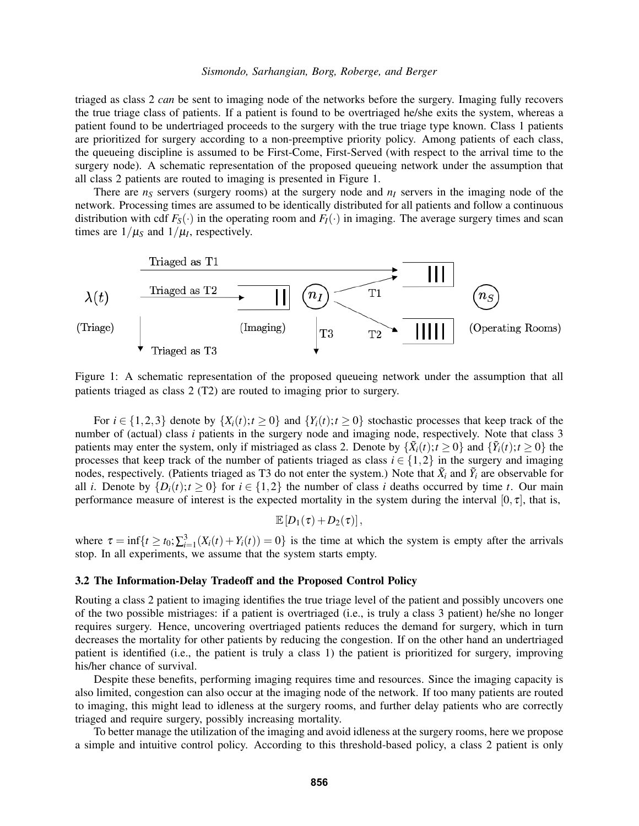triaged as class 2 *can* be sent to imaging node of the networks before the surgery. Imaging fully recovers the true triage class of patients. If a patient is found to be overtriaged he/she exits the system, whereas a patient found to be undertriaged proceeds to the surgery with the true triage type known. Class 1 patients are prioritized for surgery according to a non-preemptive priority policy. Among patients of each class, the queueing discipline is assumed to be First-Come, First-Served (with respect to the arrival time to the surgery node). A schematic representation of the proposed queueing network under the assumption that all class 2 patients are routed to imaging is presented in Figure 1.

There are  $n<sub>S</sub>$  servers (surgery rooms) at the surgery node and  $n<sub>I</sub>$  servers in the imaging node of the network. Processing times are assumed to be identically distributed for all patients and follow a continuous distribution with cdf  $F_S(\cdot)$  in the operating room and  $F_I(\cdot)$  in imaging. The average surgery times and scan times are  $1/\mu_s$  and  $1/\mu_l$ , respectively.



Figure 1: A schematic representation of the proposed queueing network under the assumption that all patients triaged as class 2 (T2) are routed to imaging prior to surgery.

For  $i \in \{1,2,3\}$  denote by  $\{X_i(t); t \geq 0\}$  and  $\{Y_i(t); t \geq 0\}$  stochastic processes that keep track of the number of (actual) class *i* patients in the surgery node and imaging node, respectively. Note that class 3 patients may enter the system, only if mistriaged as class 2. Denote by  $\{\tilde{X}_i(t); t \ge 0\}$  and  $\{\tilde{Y}_i(t); t \ge 0\}$  the processes that keep track of the number of patients triaged as class  $i \in \{1,2\}$  in the surgery and imaging nodes, respectively. (Patients triaged as T3 do not enter the system.) Note that  $\tilde{X}_i$  and  $\tilde{Y}_i$  are observable for all *i*. Denote by  $\{D_i(t); t \ge 0\}$  for  $i \in \{1,2\}$  the number of class *i* deaths occurred by time *t*. Our main performance measure of interest is the expected mortality in the system during the interval [0,  $\tau$ ], that is,

$$
\mathbb{E}\left[D_1(\tau)+D_2(\tau)\right],
$$

where  $\tau = \inf\{t \ge t_0; \sum_{i=1}^3 (X_i(t) + Y_i(t)) = 0\}$  is the time at which the system is empty after the arrivals stop. In all experiments, we assume that the system starts empty.

## <span id="page-3-0"></span>3.2 The Information-Delay Tradeoff and the Proposed Control Policy

Routing a class 2 patient to imaging identifies the true triage level of the patient and possibly uncovers one of the two possible mistriages: if a patient is overtriaged (i.e., is truly a class 3 patient) he/she no longer requires surgery. Hence, uncovering overtriaged patients reduces the demand for surgery, which in turn decreases the mortality for other patients by reducing the congestion. If on the other hand an undertriaged patient is identified (i.e., the patient is truly a class 1) the patient is prioritized for surgery, improving his/her chance of survival.

Despite these benefits, performing imaging requires time and resources. Since the imaging capacity is also limited, congestion can also occur at the imaging node of the network. If too many patients are routed to imaging, this might lead to idleness at the surgery rooms, and further delay patients who are correctly triaged and require surgery, possibly increasing mortality.

To better manage the utilization of the imaging and avoid idleness at the surgery rooms, here we propose a simple and intuitive control policy. According to this threshold-based policy, a class 2 patient is only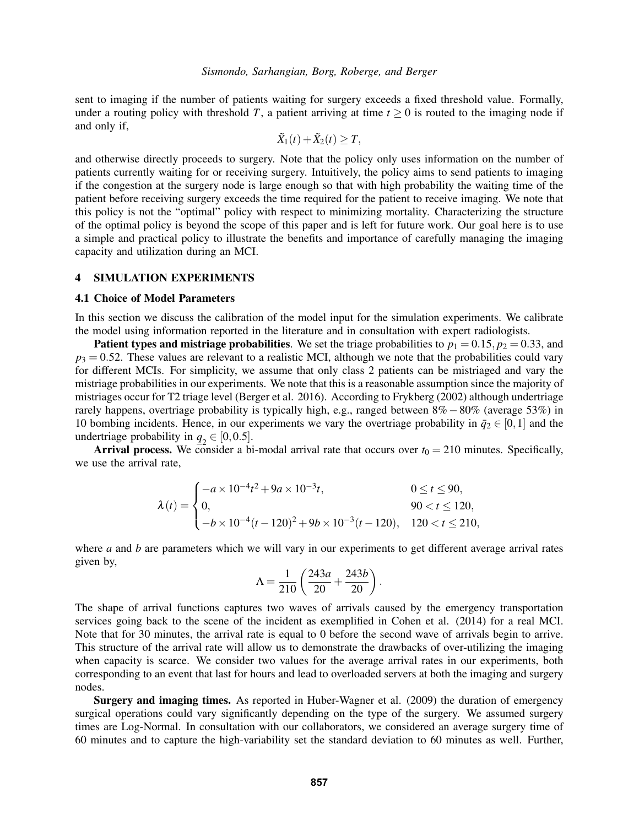sent to imaging if the number of patients waiting for surgery exceeds a fixed threshold value. Formally, under a routing policy with threshold *T*, a patient arriving at time  $t > 0$  is routed to the imaging node if and only if,

$$
\tilde{X}_1(t) + \tilde{X}_2(t) \geq T,
$$

and otherwise directly proceeds to surgery. Note that the policy only uses information on the number of patients currently waiting for or receiving surgery. Intuitively, the policy aims to send patients to imaging if the congestion at the surgery node is large enough so that with high probability the waiting time of the patient before receiving surgery exceeds the time required for the patient to receive imaging. We note that this policy is not the "optimal" policy with respect to minimizing mortality. Characterizing the structure of the optimal policy is beyond the scope of this paper and is left for future work. Our goal here is to use a simple and practical policy to illustrate the benefits and importance of carefully managing the imaging capacity and utilization during an MCI.

# 4 SIMULATION EXPERIMENTS

## <span id="page-4-0"></span>4.1 Choice of Model Parameters

In this section we discuss the calibration of the model input for the simulation experiments. We calibrate the model using information reported in the literature and in consultation with expert radiologists.

**Patient types and mistriage probabilities.** We set the triage probabilities to  $p_1 = 0.15$ ,  $p_2 = 0.33$ , and  $p_3 = 0.52$ . These values are relevant to a realistic MCI, although we note that the probabilities could vary for different MCIs. For simplicity, we assume that only class 2 patients can be mistriaged and vary the mistriage probabilities in our experiments. We note that this is a reasonable assumption since the majority of mistriages occur for T2 triage level [\(Berger et al. 2016\)](#page-9-0). According to [Frykberg \(2002\)](#page-9-9) although undertriage rarely happens, overtriage probability is typically high, e.g., ranged between 8%−80% (average 53%) in 10 bombing incidents. Hence, in our experiments we vary the overtriage probability in  $\bar{q}_2 \in [0,1]$  and the undertriage probability in  $q_2 \in [0, 0.5]$ .

Arrival process. We consider a bi-modal arrival rate that occurs over  $t_0 = 210$  minutes. Specifically, we use the arrival rate,

$$
\lambda(t) = \begin{cases}\n-a \times 10^{-4}t^2 + 9a \times 10^{-3}t, & 0 \le t \le 90, \\
0, & 90 < t \le 120, \\
-b \times 10^{-4}(t - 120)^2 + 9b \times 10^{-3}(t - 120), & 120 < t \le 210,\n\end{cases}
$$

where *a* and *b* are parameters which we will vary in our experiments to get different average arrival rates given by,

$$
\Lambda = \frac{1}{210} \left( \frac{243a}{20} + \frac{243b}{20} \right).
$$

The shape of arrival functions captures two waves of arrivals caused by the emergency transportation services going back to the scene of the incident as exemplified in [Cohen et al. \(2014\)](#page-9-1) for a real MCI. Note that for 30 minutes, the arrival rate is equal to 0 before the second wave of arrivals begin to arrive. This structure of the arrival rate will allow us to demonstrate the drawbacks of over-utilizing the imaging when capacity is scarce. We consider two values for the average arrival rates in our experiments, both corresponding to an event that last for hours and lead to overloaded servers at both the imaging and surgery nodes.

Surgery and imaging times. As reported in [Huber-Wagner et al. \(2009\)](#page-9-10) the duration of emergency surgical operations could vary significantly depending on the type of the surgery. We assumed surgery times are Log-Normal. In consultation with our collaborators, we considered an average surgery time of 60 minutes and to capture the high-variability set the standard deviation to 60 minutes as well. Further,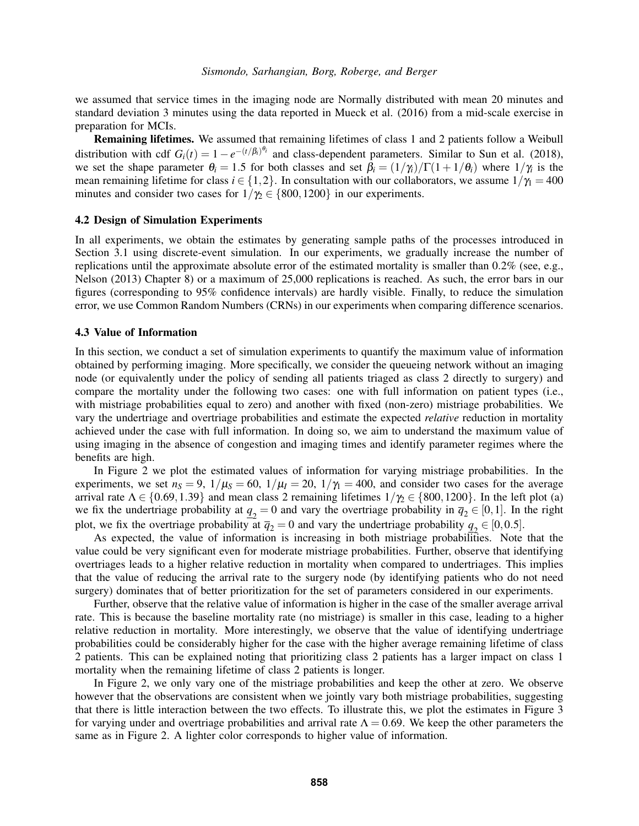we assumed that service times in the imaging node are Normally distributed with mean 20 minutes and standard deviation 3 minutes using the data reported in [Mueck et al. \(2016\)](#page-9-11) from a mid-scale exercise in preparation for MCIs.

Remaining lifetimes. We assumed that remaining lifetimes of class 1 and 2 patients follow a Weibull distribution with cdf  $G_i(t) = 1 - e^{-(t/\beta_i)^{\theta_i}}$  and class-dependent parameters. Similar to [Sun et al. \(2018\),](#page-9-4) we set the shape parameter  $\theta_i = 1.5$  for both classes and set  $\beta_i = (1/\gamma_i)/\Gamma(1+1/\theta_i)$  where  $1/\gamma_i$  is the mean remaining lifetime for class  $i \in \{1,2\}$ . In consultation with our collaborators, we assume  $1/\gamma_1 = 400$ minutes and consider two cases for  $1/\gamma_2 \in \{800, 1200\}$  in our experiments.

#### 4.2 Design of Simulation Experiments

In all experiments, we obtain the estimates by generating sample paths of the processes introduced in Section [3.1](#page-2-0) using discrete-event simulation. In our experiments, we gradually increase the number of replications until the approximate absolute error of the estimated mortality is smaller than 0.2% (see, e.g., [Nelson \(2013\)](#page-9-12) Chapter 8) or a maximum of 25,000 replications is reached. As such, the error bars in our figures (corresponding to 95% confidence intervals) are hardly visible. Finally, to reduce the simulation error, we use Common Random Numbers (CRNs) in our experiments when comparing difference scenarios.

#### <span id="page-5-0"></span>4.3 Value of Information

In this section, we conduct a set of simulation experiments to quantify the maximum value of information obtained by performing imaging. More specifically, we consider the queueing network without an imaging node (or equivalently under the policy of sending all patients triaged as class 2 directly to surgery) and compare the mortality under the following two cases: one with full information on patient types (i.e., with mistriage probabilities equal to zero) and another with fixed (non-zero) mistriage probabilities. We vary the undertriage and overtriage probabilities and estimate the expected *relative* reduction in mortality achieved under the case with full information. In doing so, we aim to understand the maximum value of using imaging in the absence of congestion and imaging times and identify parameter regimes where the benefits are high.

In Figure [2](#page-6-0) we plot the estimated values of information for varying mistriage probabilities. In the experiments, we set  $n<sub>S</sub> = 9$ ,  $1/\mu<sub>S</sub> = 60$ ,  $1/\mu<sub>I</sub> = 20$ ,  $1/\gamma<sub>I</sub> = 400$ , and consider two cases for the average arrival rate  $\Lambda \in \{0.69, 1.39\}$  and mean class 2 remaining lifetimes  $1/\gamma_2 \in \{800, 1200\}$ . In the left plot (a) we fix the undertriage probability at  $q_2 = 0$  and vary the overtriage probability in  $\bar{q}_2 \in [0, 1]$ . In the right plot, we fix the overtriage probability at  $\overline{q}_2 = 0$  and vary the undertriage probability  $q_2 \in [0, 0.5]$ .

As expected, the value of information is increasing in both mistriage probabilities. Note that the value could be very significant even for moderate mistriage probabilities. Further, observe that identifying overtriages leads to a higher relative reduction in mortality when compared to undertriages. This implies that the value of reducing the arrival rate to the surgery node (by identifying patients who do not need surgery) dominates that of better prioritization for the set of parameters considered in our experiments.

Further, observe that the relative value of information is higher in the case of the smaller average arrival rate. This is because the baseline mortality rate (no mistriage) is smaller in this case, leading to a higher relative reduction in mortality. More interestingly, we observe that the value of identifying undertriage probabilities could be considerably higher for the case with the higher average remaining lifetime of class 2 patients. This can be explained noting that prioritizing class 2 patients has a larger impact on class 1 mortality when the remaining lifetime of class 2 patients is longer.

In Figure [2,](#page-6-0) we only vary one of the mistriage probabilities and keep the other at zero. We observe however that the observations are consistent when we jointly vary both mistriage probabilities, suggesting that there is little interaction between the two effects. To illustrate this, we plot the estimates in Figure [3](#page-6-1) for varying under and overtriage probabilities and arrival rate  $\Lambda = 0.69$ . We keep the other parameters the same as in Figure [2.](#page-6-0) A lighter color corresponds to higher value of information.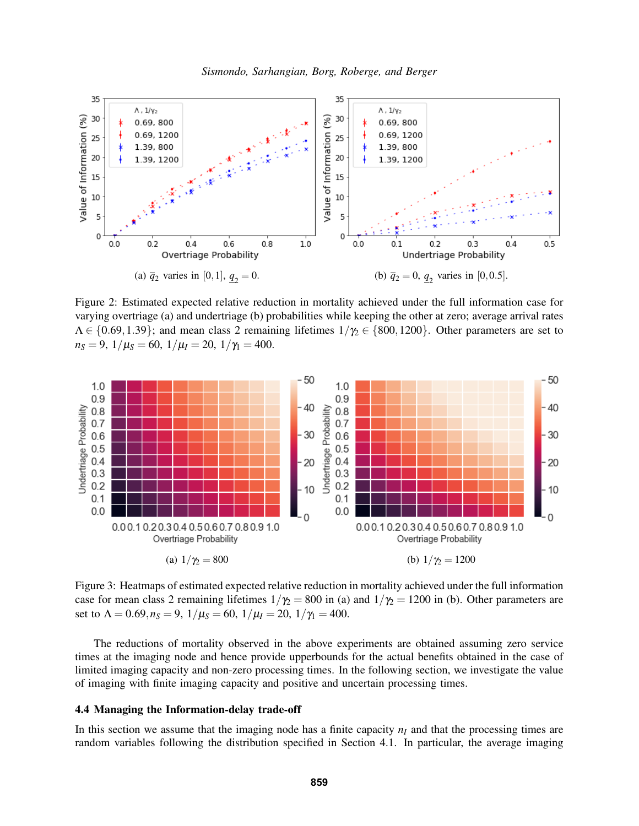<span id="page-6-0"></span>

Figure 2: Estimated expected relative reduction in mortality achieved under the full information case for varying overtriage (a) and undertriage (b) probabilities while keeping the other at zero; average arrival rates  $\Lambda \in \{0.69, 1.39\}$ ; and mean class 2 remaining lifetimes  $1/\gamma_2 \in \{800, 1200\}$ . Other parameters are set to  $n_S = 9$ ,  $1/\mu_S = 60$ ,  $1/\mu_I = 20$ ,  $1/\gamma_I = 400$ .

<span id="page-6-1"></span>

Figure 3: Heatmaps of estimated expected relative reduction in mortality achieved under the full information case for mean class 2 remaining lifetimes  $1/\gamma_2 = 800$  in (a) and  $1/\gamma_2 = 1200$  in (b). Other parameters are set to  $\Lambda = 0.69, n_S = 9, 1/\mu_S = 60, 1/\mu_I = 20, 1/\gamma_I = 400.$ 

The reductions of mortality observed in the above experiments are obtained assuming zero service times at the imaging node and hence provide upperbounds for the actual benefits obtained in the case of limited imaging capacity and non-zero processing times. In the following section, we investigate the value of imaging with finite imaging capacity and positive and uncertain processing times.

#### 4.4 Managing the Information-delay trade-off

In this section we assume that the imaging node has a finite capacity  $n<sub>I</sub>$  and that the processing times are random variables following the distribution specified in Section [4.1.](#page-4-0) In particular, the average imaging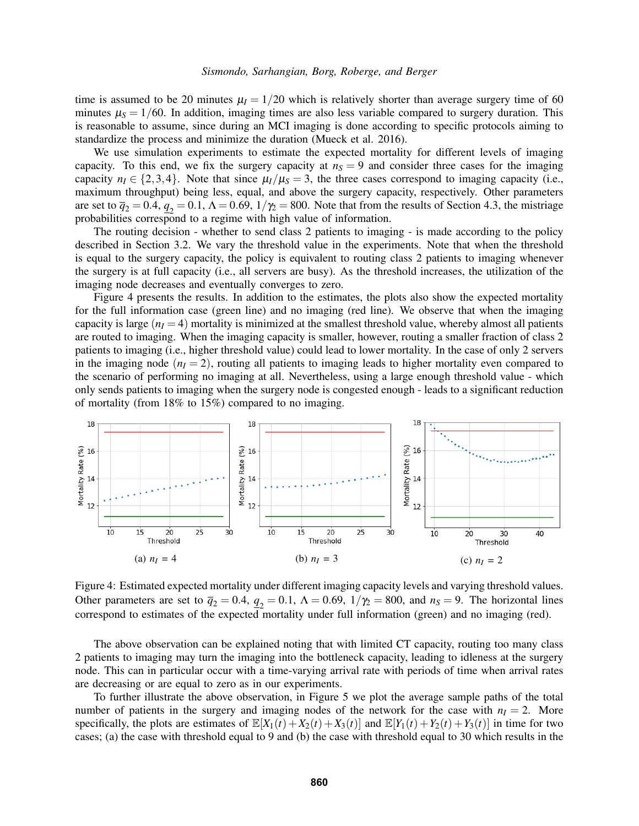time is assumed to be 20 minutes  $\mu$ <sub>I</sub> = 1/20 which is relatively shorter than average surgery time of 60 minutes  $\mu$ <sub>S</sub> = 1/60. In addition, imaging times are also less variable compared to surgery duration. This is reasonable to assume, since during an MCI imaging is done according to specific protocols aiming to standardize the process and minimize the duration [\(Mueck et al. 2016\)](#page-9-11).

We use simulation experiments to estimate the expected mortality for different levels of imaging capacity. To this end, we fix the surgery capacity at  $n<sub>S</sub> = 9$  and consider three cases for the imaging capacity  $n_1 \in \{2,3,4\}$ . Note that since  $\mu_1/\mu_s = 3$ , the three cases correspond to imaging capacity (i.e., maximum throughput) being less, equal, and above the surgery capacity, respectively. Other parameters are set to  $\bar{q}_2 = 0.4$ ,  $q_2 = 0.1$ ,  $\Lambda = 0.69$ ,  $1/\gamma_2 = 800$ . Note that from the results of Section [4.3,](#page-5-0) the mistriage probabilities correspond to a regime with high value of information.

The routing decision - whether to send class 2 patients to imaging - is made according to the policy described in Section [3.2.](#page-3-0) We vary the threshold value in the experiments. Note that when the threshold is equal to the surgery capacity, the policy is equivalent to routing class 2 patients to imaging whenever the surgery is at full capacity (i.e., all servers are busy). As the threshold increases, the utilization of the imaging node decreases and eventually converges to zero.

Figure [4](#page-7-0) presents the results. In addition to the estimates, the plots also show the expected mortality for the full information case (green line) and no imaging (red line). We observe that when the imaging capacity is large  $(n_I = 4)$  mortality is minimized at the smallest threshold value, whereby almost all patients are routed to imaging. When the imaging capacity is smaller, however, routing a smaller fraction of class 2 patients to imaging (i.e., higher threshold value) could lead to lower mortality. In the case of only 2 servers in the imaging node  $(n<sub>I</sub> = 2)$ , routing all patients to imaging leads to higher mortality even compared to the scenario of performing no imaging at all. Nevertheless, using a large enough threshold value - which only sends patients to imaging when the surgery node is congested enough - leads to a significant reduction of mortality (from 18% to 15%) compared to no imaging.

<span id="page-7-0"></span>

Figure 4: Estimated expected mortality under different imaging capacity levels and varying threshold values. Other parameters are set to  $\bar{q}_2 = 0.4$ ,  $\bar{q}_2 = 0.1$ ,  $\Lambda = 0.69$ ,  $1/\gamma_2 = 800$ , and  $n_S = 9$ . The horizontal lines correspond to estimates of the expected mortality under full information (green) and no imaging (red).

The above observation can be explained noting that with limited CT capacity, routing too many class 2 patients to imaging may turn the imaging into the bottleneck capacity, leading to idleness at the surgery node. This can in particular occur with a time-varying arrival rate with periods of time when arrival rates are decreasing or are equal to zero as in our experiments.

To further illustrate the above observation, in Figure [5](#page-8-1) we plot the average sample paths of the total number of patients in the surgery and imaging nodes of the network for the case with  $n<sub>I</sub> = 2$ . More specifically, the plots are estimates of  $\mathbb{E}[X_1(t) + X_2(t) + X_3(t)]$  and  $\mathbb{E}[Y_1(t) + Y_2(t) + Y_3(t)]$  in time for two cases; (a) the case with threshold equal to 9 and (b) the case with threshold equal to 30 which results in the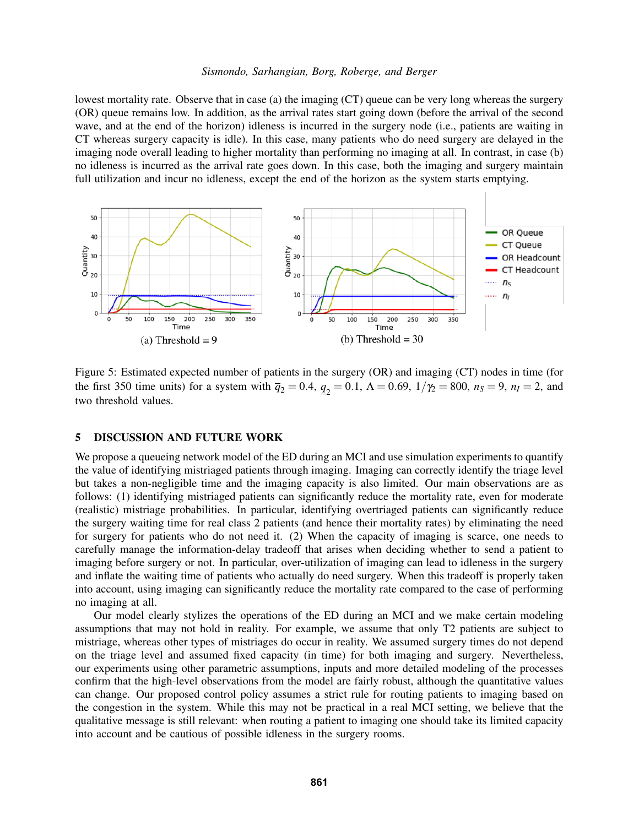lowest mortality rate. Observe that in case (a) the imaging (CT) queue can be very long whereas the surgery (OR) queue remains low. In addition, as the arrival rates start going down (before the arrival of the second wave, and at the end of the horizon) idleness is incurred in the surgery node (i.e., patients are waiting in CT whereas surgery capacity is idle). In this case, many patients who do need surgery are delayed in the imaging node overall leading to higher mortality than performing no imaging at all. In contrast, in case (b) no idleness is incurred as the arrival rate goes down. In this case, both the imaging and surgery maintain full utilization and incur no idleness, except the end of the horizon as the system starts emptying.

<span id="page-8-1"></span>

Figure 5: Estimated expected number of patients in the surgery (OR) and imaging (CT) nodes in time (for the first 350 time units) for a system with  $\bar{q}_2 = 0.4$ ,  $\bar{q}_2 = 0.1$ ,  $\Lambda = 0.69$ ,  $1/\gamma_2 = 800$ ,  $n_S = 9$ ,  $n_I = 2$ , and two threshold values.

## <span id="page-8-0"></span>5 DISCUSSION AND FUTURE WORK

We propose a queueing network model of the ED during an MCI and use simulation experiments to quantify the value of identifying mistriaged patients through imaging. Imaging can correctly identify the triage level but takes a non-negligible time and the imaging capacity is also limited. Our main observations are as follows: (1) identifying mistriaged patients can significantly reduce the mortality rate, even for moderate (realistic) mistriage probabilities. In particular, identifying overtriaged patients can significantly reduce the surgery waiting time for real class 2 patients (and hence their mortality rates) by eliminating the need for surgery for patients who do not need it. (2) When the capacity of imaging is scarce, one needs to carefully manage the information-delay tradeoff that arises when deciding whether to send a patient to imaging before surgery or not. In particular, over-utilization of imaging can lead to idleness in the surgery and inflate the waiting time of patients who actually do need surgery. When this tradeoff is properly taken into account, using imaging can significantly reduce the mortality rate compared to the case of performing no imaging at all.

Our model clearly stylizes the operations of the ED during an MCI and we make certain modeling assumptions that may not hold in reality. For example, we assume that only T2 patients are subject to mistriage, whereas other types of mistriages do occur in reality. We assumed surgery times do not depend on the triage level and assumed fixed capacity (in time) for both imaging and surgery. Nevertheless, our experiments using other parametric assumptions, inputs and more detailed modeling of the processes confirm that the high-level observations from the model are fairly robust, although the quantitative values can change. Our proposed control policy assumes a strict rule for routing patients to imaging based on the congestion in the system. While this may not be practical in a real MCI setting, we believe that the qualitative message is still relevant: when routing a patient to imaging one should take its limited capacity into account and be cautious of possible idleness in the surgery rooms.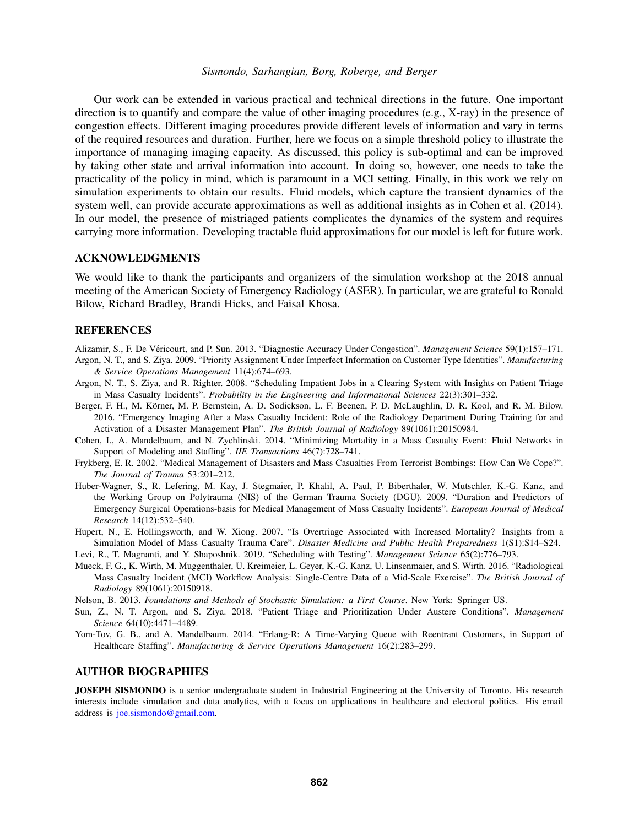Our work can be extended in various practical and technical directions in the future. One important direction is to quantify and compare the value of other imaging procedures (e.g., X-ray) in the presence of congestion effects. Different imaging procedures provide different levels of information and vary in terms of the required resources and duration. Further, here we focus on a simple threshold policy to illustrate the importance of managing imaging capacity. As discussed, this policy is sub-optimal and can be improved by taking other state and arrival information into account. In doing so, however, one needs to take the practicality of the policy in mind, which is paramount in a MCI setting. Finally, in this work we rely on simulation experiments to obtain our results. Fluid models, which capture the transient dynamics of the system well, can provide accurate approximations as well as additional insights as in [Cohen et al. \(2014\).](#page-9-1) In our model, the presence of mistriaged patients complicates the dynamics of the system and requires carrying more information. Developing tractable fluid approximations for our model is left for future work.

## ACKNOWLEDGMENTS

We would like to thank the participants and organizers of the simulation workshop at the 2018 annual meeting of the American Society of Emergency Radiology (ASER). In particular, we are grateful to Ronald Bilow, Richard Bradley, Brandi Hicks, and Faisal Khosa.

### **REFERENCES**

- <span id="page-9-8"></span>Alizamir, S., F. De Véricourt, and P. Sun. 2013. "Diagnostic Accuracy Under Congestion". *Management Science* 59(1):157–171.
- <span id="page-9-5"></span>Argon, N. T., and S. Ziya. 2009. "Priority Assignment Under Imperfect Information on Customer Type Identities". *Manufacturing & Service Operations Management* 11(4):674–693.
- <span id="page-9-3"></span>Argon, N. T., S. Ziya, and R. Righter. 2008. "Scheduling Impatient Jobs in a Clearing System with Insights on Patient Triage in Mass Casualty Incidents". *Probability in the Engineering and Informational Sciences* 22(3):301–332.
- <span id="page-9-0"></span>Berger, F. H., M. Körner, M. P. Bernstein, A. D. Sodickson, L. F. Beenen, P. D. McLaughlin, D. R. Kool, and R. M. Bilow. 2016. "Emergency Imaging After a Mass Casualty Incident: Role of the Radiology Department During Training for and Activation of a Disaster Management Plan". *The British Journal of Radiology* 89(1061):20150984.
- <span id="page-9-1"></span>Cohen, I., A. Mandelbaum, and N. Zychlinski. 2014. "Minimizing Mortality in a Mass Casualty Event: Fluid Networks in Support of Modeling and Staffing". *IIE Transactions* 46(7):728–741.
- <span id="page-9-9"></span>Frykberg, E. R. 2002. "Medical Management of Disasters and Mass Casualties From Terrorist Bombings: How Can We Cope?". *The Journal of Trauma* 53:201–212.
- <span id="page-9-10"></span>Huber-Wagner, S., R. Lefering, M. Kay, J. Stegmaier, P. Khalil, A. Paul, P. Biberthaler, W. Mutschler, K.-G. Kanz, and the Working Group on Polytrauma (NIS) of the German Trauma Society (DGU). 2009. "Duration and Predictors of Emergency Surgical Operations-basis for Medical Management of Mass Casualty Incidents". *European Journal of Medical Research* 14(12):532–540.
- <span id="page-9-6"></span>Hupert, N., E. Hollingsworth, and W. Xiong. 2007. "Is Overtriage Associated with Increased Mortality? Insights from a Simulation Model of Mass Casualty Trauma Care". *Disaster Medicine and Public Health Preparedness* 1(S1):S14–S24.

<span id="page-9-7"></span>Levi, R., T. Magnanti, and Y. Shaposhnik. 2019. "Scheduling with Testing". *Management Science* 65(2):776–793.

<span id="page-9-11"></span>Mueck, F. G., K. Wirth, M. Muggenthaler, U. Kreimeier, L. Geyer, K.-G. Kanz, U. Linsenmaier, and S. Wirth. 2016. "Radiological Mass Casualty Incident (MCI) Workflow Analysis: Single-Centre Data of a Mid-Scale Exercise". *The British Journal of Radiology* 89(1061):20150918.

<span id="page-9-12"></span>Nelson, B. 2013. *Foundations and Methods of Stochastic Simulation: a First Course*. New York: Springer US.

- <span id="page-9-4"></span>Sun, Z., N. T. Argon, and S. Ziya. 2018. "Patient Triage and Prioritization Under Austere Conditions". *Management Science* 64(10):4471–4489.
- <span id="page-9-2"></span>Yom-Tov, G. B., and A. Mandelbaum. 2014. "Erlang-R: A Time-Varying Queue with Reentrant Customers, in Support of Healthcare Staffing". *Manufacturing & Service Operations Management* 16(2):283–299.

## AUTHOR BIOGRAPHIES

JOSEPH SISMONDO is a senior undergraduate student in Industrial Engineering at the University of Toronto. His research interests include simulation and data analytics, with a focus on applications in healthcare and electoral politics. His email address is [joe.sismondo@gmail.com.](mailto://joe.sismondo@gmail.com)